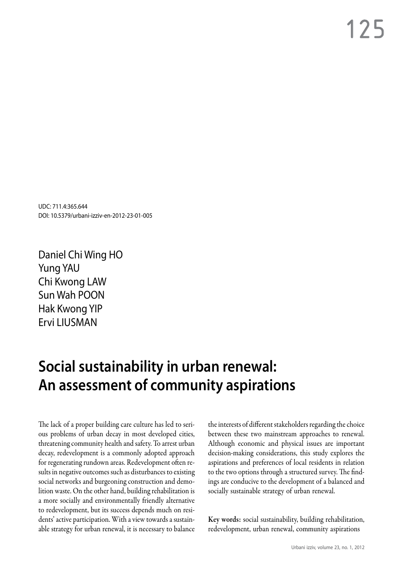UDC: 711.4:365.644 DOI: 10.5379/urbani-izziv-en-2012-23-01-005

Daniel Chi Wing HO Yung YAU Chi Kwong LAW Sun Wah POON Hak Kwong YIP Ervi LIUSMAN

# **Social sustainability in urban renewal: An assessment of community aspirations**

The lack of a proper building care culture has led to serious problems of urban decay in most developed cities, threatening community health and safety. To arrest urban decay, redevelopment is a commonly adopted approach for regenerating rundown areas. Redevelopment often results in negative outcomes such as disturbances to existing social networks and burgeoning construction and demolition waste. On the other hand, building rehabilitation is a more socially and environmentally friendly alternative to redevelopment, but its success depends much on residents' active participation. With a view towards a sustainable strategy for urban renewal, it is necessary to balance

the interests of different stakeholders regarding the choice between these two mainstream approaches to renewal. Although economic and physical issues are important decision-making considerations, this study explores the aspirations and preferences of local residents in relation to the two options through a structured survey. The findings are conducive to the development of a balanced and socially sustainable strategy of urban renewal.

Key words: social sustainability, building rehabilitation, redevelopment, urban renewal, community aspirations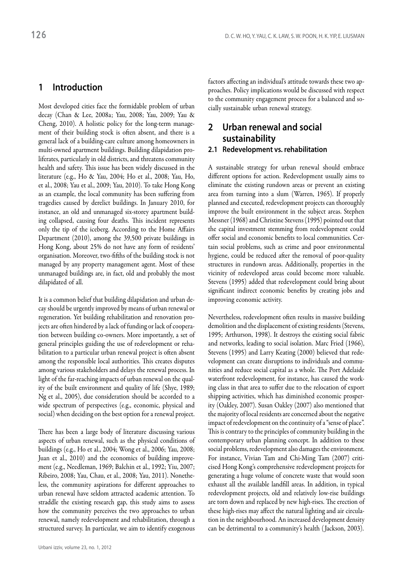# **1 Introduction**

Most developed cities face the formidable problem of urban decay (Chan & Lee, 2008a; Yau, 2008; Yau, 2009; Yau & Cheng, 2010). A holistic policy for the long-term management of their building stock is often absent, and there is a general lack of a building-care culture among homeowners in multi-owned apartment buildings. Building dilapidation proliferates, particularly in old districts, and threatens community health and safety. This issue has been widely discussed in the literature (e.g., Ho & Yau, 2004; Ho et al., 2008; Yau, Ho, et al., 2008; Yau et al., 2009; Yau, 2010). To take Hong Kong as an example, the local community has been suffering from tragedies caused by derelict buildings. In January 2010, for instance, an old and unmanaged six-storey apartment building collapsed, causing four deaths. This incident represents only the tip of the iceberg. According to the Home Affairs Department (2010), among the 39,500 private buildings in Hong Kong, about 25% do not have any form of residents' organisation. Moreover, two‑fifths of the building stock is not managed by any property management agent. Most of these unmanaged buildings are, in fact, old and probably the most dilapidated of all.

It is a common belief that building dilapidation and urban decay should be urgently improved by means of urban renewal or regeneration. Yet building rehabilitation and renovation projects are often hindered by a lack of funding or lack of cooperation between building co‑owners. More importantly, a set of general principles guiding the use of redevelopment or rehabilitation to a particular urban renewal project is often absent among the responsible local authorities. This creates disputes among various stakeholders and delays the renewal process. In light of the far-reaching impacts of urban renewal on the quality of the built environment and quality of life (Shye, 1989; Ng et al., 2005), due consideration should be accorded to a wide spectrum of perspectives (e.g., economic, physical and social) when deciding on the best option for a renewal project.

There has been a large body of literature discussing various aspects of urban renewal, such as the physical conditions of buildings (e.g., Ho et al., 2004; Wong et al., 2006; Yau, 2008; Juan et al., 2010) and the economics of building improvement (e.g., Needleman, 1969; Balchin et al., 1992; Yiu, 2007; Ribeiro, 2008; Yau, Chau, et al., 2008; Yau, 2011). Nonethe‑ less, the community aspirations for different approaches to urban renewal have seldom attracted academic attention. To straddle the existing research gap, this study aims to assess how the community perceives the two approaches to urban renewal, namely redevelopment and rehabilitation, through a structured survey. In particular, we aim to identify exogenous

Nevertheless, redevelopment often results in massive building demolition and the displacement of existing residents (Stevens, 1995; Arthurson, 1998). It destroys the existing social fabric and networks, leading to social isolation. Marc Fried (1966), Stevens (1995) and Larry Keating (2000) believed that redevelopment can create disruptions to individuals and communities and reduce social capital as a whole. The Port Adelaide waterfront redevelopment, for instance, has caused the working class in that area to suffer due to the relocation of export shipping activities, which has diminished economic prosperity (Oakley, 2007). Susan Oakley (2007) also mentioned that the majority of local residents are concerned about the negative impact of redevelopment on the continuity of a "sense of place". This is contrary to the principles of community building in the contemporary urban planning concept. In addition to these social problems, redevelopment also damages the environment. For instance, Vivian Tam and Chi-Ming Tam (2007) criticised Hong Kong's comprehensive redevelopment projects for generating a huge volume of concrete waste that would soon exhaust all the available landfill areas. In addition, in typical redevelopment projects, old and relatively low-rise buildings are torn down and replaced by new high-rises. The erection of these high-rises may affect the natural lighting and air circulation in the neighbourhood. An increased development density can be detrimental to a community's health ( Jackson, 2003).

factors affecting an individual's attitude towards these two approaches. Policy implications would be discussed with respect to the community engagement process for a balanced and socially sustainable urban renewal strategy.

# **2 Urban renewal and social sustainability**

## **2.1 Redevelopment vs. rehabilitation**

A sustainable strategy for urban renewal should embrace different options for action. Redevelopment usually aims to eliminate the existing rundown areas or prevent an existing area from turning into a slum (Warren, 1965). If properly planned and executed, redevelopment projects can thoroughly improve the built environment in the subject areas. Stephen Messner (1968) and Christine Stevens (1995) pointed out that the capital investment stemming from redevelopment could offer social and economic benefits to local communities. Certain social problems, such as crime and poor environmental hygiene, could be reduced after the removal of poor-quality structures in rundown areas. Additionally, properties in the vicinity of redeveloped areas could become more valuable. Stevens (1995) added that redevelopment could bring about significant indirect economic benefits by creating jobs and improving economic activity.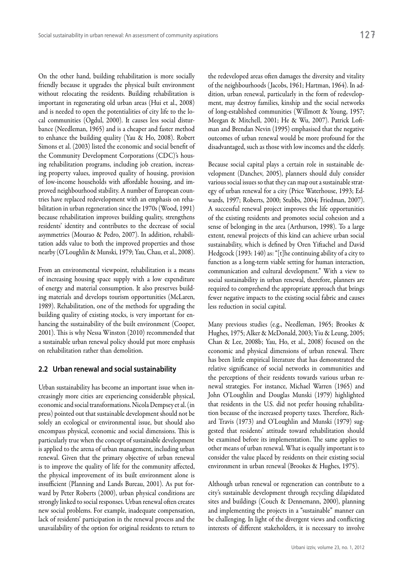On the other hand, building rehabilitation is more socially friendly because it upgrades the physical built environment without relocating the residents. Building rehabilitation is important in regenerating old urban areas (Hui et al., 2008) and is needed to open the potentialities of city life to the local communities (Ogdul, 2000). It causes less social disturbance (Needleman, 1965) and is a cheaper and faster method to enhance the building quality (Yau & Ho, 2008). Robert Simons et al. (2003) listed the economic and social benefit of the Community Development Corporations (CDC)'s housing rehabilitation programs, including job creation, increasing property values, improved quality of housing, provision of low-income households with affordable housing, and improved neighbourhood stability. A number of European countries have replaced redevelopment with an emphasis on rehabilitation in urban regeneration since the 1970s (Wood, 1991) because rehabilitation improves building quality, strengthens residents' identity and contributes to the decrease of social asymmetries (Mourao & Pedro, 2007). In addition, rehabilitation adds value to both the improved properties and those nearby (O'Loughlin & Munski, 1979; Yau, Chau, et al., 2008).

From an environmental viewpoint, rehabilitation is a means of increasing housing space supply with a low expenditure of energy and material consumption. It also preserves building materials and develops tourism opportunities (McLaren, 1989). Rehabilitation, one of the methods for upgrading the building quality of existing stocks, is very important for enhancing the sustainability of the built environment (Cooper, 2001). This is why Nessa Winston (2010) recommended that a sustainable urban renewal policy should put more emphasis on rehabilitation rather than demolition.

# **2.2 Urban renewal and social sustainability**

Urban sustainability has become an important issue when increasingly more cities are experiencing considerable physical, economic and social transformations. Nicola Dempsey et al. (in press) pointed out that sustainable development should not be solely an ecological or environmental issue, but should also encompass physical, economic and social dimensions. This is particularly true when the concept of sustainable development is applied to the arena of urban management, including urban renewal. Given that the primary objective of urban renewal is to improve the quality of life for the community affected, the physical improvement of its built environment alone is insufficient (Planning and Lands Bureau, 2001). As put forward by Peter Roberts (2000), urban physical conditions are strongly linked to social responses. Urban renewal often creates new social problems. For example, inadequate compensation, lack of residents' participation in the renewal process and the unavailability of the option for original residents to return to

the redeveloped areas often damages the diversity and vitality of the neighbourhoods (Jacobs, 1961; Hartman, 1964). In addition, urban renewal, particularly in the form of redevelopment, may destroy families, kinship and the social networks of long‑established communities (Willmott & Young, 1957; Meegan & Mitchell, 2001; He & Wu, 2007). Patrick Loftman and Brendan Nevin (1995) emphasised that the negative outcomes of urban renewal would be more profound for the disadvantaged, such as those with low incomes and the elderly.

Because social capital plays a certain role in sustainable development (Danchev, 2005), planners should duly consider various social issues so that they can map out a sustainable strategy of urban renewal for a city (Price Waterhouse, 1993; Edwards, 1997; Roberts, 2000; Stubbs, 2004; Friedman, 2007). A successful renewal project improves the life opportunities of the existing residents and promotes social cohesion and a sense of belonging in the area (Arthurson, 1998). To a large extent, renewal projects of this kind can achieve urban social sustainability, which is defined by Oren Yiftachel and David Hedgcock (1993: 140) as: "[t]he continuing ability of a city to function as a long-term viable setting for human interaction, communication and cultural development." With a view to social sustainability in urban renewal, therefore, planners are required to comprehend the appropriate approach that brings fewer negative impacts to the existing social fabric and causes less reduction in social capital.

Many previous studies (e.g., Needleman, 1965; Brookes & Hughes, 1975; Alker & McDonald, 2003; Yiu & Leung, 2005; Chan & Lee, 2008b; Yau, Ho, et al., 2008) focused on the economic and physical dimensions of urban renewal. There has been little empirical literature that has demonstrated the relative significance of social networks in communities and the perceptions of their residents towards various urban renewal strategies. For instance, Michael Warren (1965) and John O'Loughlin and Douglas Munski (1979) highlighted that residents in the U.S. did not prefer housing rehabilitation because of the increased property taxes. Therefore, Richard Travis (1973) and O'Loughlin and Munski (1979) suggested that residents' attitude toward rehabilitation should be examined before its implementation. The same applies to other means of urban renewal. What is equally important is to consider the value placed by residents on their existing social environment in urban renewal (Brookes & Hughes, 1975).

Although urban renewal or regeneration can contribute to a city's sustainable development through recycling dilapidated sites and buildings (Couch & Dennemann, 2000), planning and implementing the projects in a "sustainable" manner can be challenging. In light of the divergent views and conflicting interests of different stakeholders, it is necessary to involve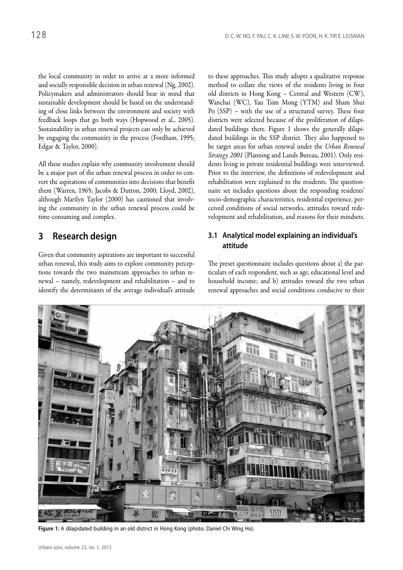the local community in order to arrive at a more informed and socially responsible decision in urban renewal (Ng, 2002). Policymakers and administrators should bear in mind that sustainable development should be based on the understanding of close links between the environment and society with feedback loops that go both ways (Hopwood et al., 2005). Sustainability in urban renewal projects can only be achieved by engaging the community in the process (Fordham, 1995; Edgar & Taylor, 2000).

All these studies explain why community involvement should be a major part of the urban renewal process in order to convert the aspirations of communities into decisions that benefit them (Warren, 1965; Jacobs & Dutton, 2000; Lloyd, 2002), although Marilyn Taylor (2000) has cautioned that involving the community in the urban renewal process could be time-consuming and complex.

# **3 Research design**

Given that community aspirations are important to successful urban renewal, this study aims to explore community perceptions towards the two mainstream approaches to urban renewal – namely, redevelopment and rehabilitation – and to identify the determinants of the average individual's attitude to these approaches. This study adopts a qualitative response method to collate the views of the residents living in four old districts in Hong Kong – Central and Western (CW), Wanchai (WC), Yau Tsim Mong (YTM) and Sham Shui Po (SSP) - with the use of a structured survey. These four districts were selected because of the proliferation of dilapidated buildings there. Figure 1 shows the generally dilapidated buildings in the SSP district. They also happened to be target areas for urban renewal under the *Urban Renewal Strategy 2001* (Planning and Lands Bureau, 2001). Only residents living in private residential buildings were interviewed. Prior to the interview, the definitions of redevelopment and rehabilitation were explained to the residents. The questionnaire set includes questions about the responding residents' socio-demographic characteristics, residential experience, perceived conditions of social networks, attitudes toward redevelopment and rehabilitation, and reasons for their mindsets.

# **3.1 Analytical model explaining an individual's attitude**

The preset questionnaire includes questions about a) the particulars of each respondent, such as age, educational level and household income; and b) attitudes toward the two urban renewal approaches and social conditions conducive to their



**Figure 1:** A dilapidated building in an old district in Hong Kong (photo: Daniel Chi Wing Ho).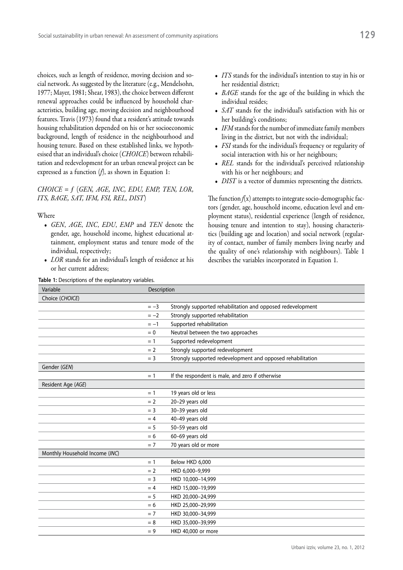choices, such as length of residence, moving decision and social network. As suggested by the literature (e.g., Mendelsohn, 1977; Mayer, 1981; Shear, 1983), the choice between different renewal approaches could be influenced by household characteristics, building age, moving decision and neighbourhood features. Travis (1973) found that a resident's attitude towards housing rehabilitation depended on his or her socioeconomic background, length of residence in the neighbourhood and housing tenure. Based on these established links, we hypothesised that an individual's choice (CHOICE) between rehabilitation and redevelopment for an urban renewal project can be expressed as a function (*f*), as shown in Equation 1:

## *CHOICE* = ƒ (*GEN, AGE, INC, EDU, EMP, TEN, LOR, ITS, BAGE, SAT, IFM, FSI, REL, DIST*)

#### Where

- *• GEN*, *AGE*, *INC*, *EDU*, *EMP* and *TEN* denote the gender, age, household income, highest educational attainment, employment status and tenure mode of the individual, respectively;
- *• LOR* stands for an individual's length of residence at his or her current address;
- **Table 1:** Descriptions of the explanatory variables.
- *• ITS* stands for the individual's intention to stay in his or her residential district;
- *• BAGE* stands for the age of the building in which the individual resides;
- *• SAT* stands for the individual's satisfaction with his or her building's conditions;
- *• IFM* stands for the number of immediate family members living in the district, but not with the individual;
- *FSI* stands for the individual's frequency or regularity of social interaction with his or her neighbours;
- *• REL* stands for the individual's perceived relationship with his or her neighbours; and
- *DIST* is a vector of dummies representing the districts.

The function  $f(x)$  attempts to integrate socio-demographic factors (gender, age, household income, education level and employment status), residential experience (length of residence, housing tenure and intention to stay), housing characteristics (building age and location) and social network (regularity of contact, number of family members living nearby and the quality of one's relationship with neighbours). Table 1 describes the variables incorporated in Equation 1.

| Variable                       | Description |                                                             |  |  |  |
|--------------------------------|-------------|-------------------------------------------------------------|--|--|--|
| Choice (CHOICE)                |             |                                                             |  |  |  |
|                                | $=-3$       | Strongly supported rehabilitation and opposed redevelopment |  |  |  |
|                                | $=-2$       | Strongly supported rehabilitation                           |  |  |  |
|                                | $=-1$       | Supported rehabilitation                                    |  |  |  |
|                                | $= 0$       | Neutral between the two approaches                          |  |  |  |
|                                | $= 1$       | Supported redevelopment                                     |  |  |  |
|                                | $= 2$       | Strongly supported redevelopment                            |  |  |  |
|                                | $=$ 3       | Strongly supported redevelopment and opposed rehabilitation |  |  |  |
| Gender (GEN)                   |             |                                                             |  |  |  |
|                                | $= 1$       | If the respondent is male, and zero if otherwise            |  |  |  |
| Resident Age (AGE)             |             |                                                             |  |  |  |
|                                | $= 1$       | 19 years old or less                                        |  |  |  |
|                                | $= 2$       | 20-29 years old                                             |  |  |  |
|                                | $=$ 3       | 30-39 years old                                             |  |  |  |
|                                | $= 4$       | 40-49 years old                                             |  |  |  |
|                                | $= 5$       | 50-59 years old                                             |  |  |  |
|                                | $= 6$       | 60-69 years old                                             |  |  |  |
|                                | $= 7$       | 70 years old or more                                        |  |  |  |
| Monthly Household Income (INC) |             |                                                             |  |  |  |
|                                | $= 1$       | Below HKD 6,000                                             |  |  |  |
|                                | $= 2$       | HKD 6,000-9,999                                             |  |  |  |
|                                | $=$ 3       | HKD 10,000-14,999                                           |  |  |  |
|                                | $= 4$       | HKD 15,000-19,999                                           |  |  |  |
|                                | $= 5$       | HKD 20,000-24,999                                           |  |  |  |
|                                | $= 6$       | HKD 25,000-29,999                                           |  |  |  |
|                                | $= 7$       | HKD 30,000-34,999                                           |  |  |  |
|                                | $= 8$       | HKD 35,000-39,999                                           |  |  |  |
|                                | $= 9$       | HKD 40,000 or more                                          |  |  |  |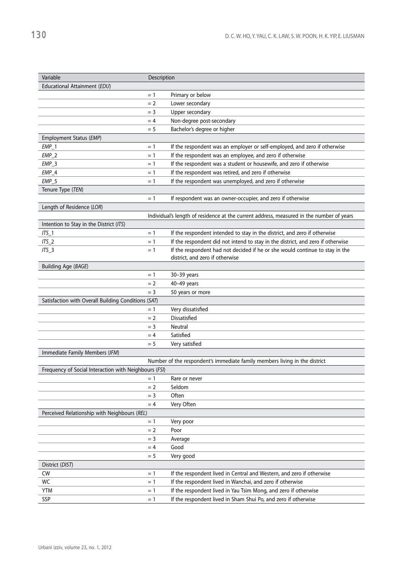| Variable                                              | Description |                                                                                          |
|-------------------------------------------------------|-------------|------------------------------------------------------------------------------------------|
| Educational Attainment (EDU)                          |             |                                                                                          |
|                                                       | $= 1$       | Primary or below                                                                         |
|                                                       | $= 2$       | Lower secondary                                                                          |
|                                                       | $=$ 3       | Upper secondary                                                                          |
|                                                       | $=4$        | Non-degree post-secondary                                                                |
|                                                       | $= 5$       | Bachelor's degree or higher                                                              |
| Employment Status (EMP)                               |             |                                                                                          |
| $EMP_1$                                               | $= 1$       | If the respondent was an employer or self-employed, and zero if otherwise                |
| $EMP_2$                                               | $=1$        | If the respondent was an employee, and zero if otherwise                                 |
| $EMP_3$                                               | $= 1$       | If the respondent was a student or housewife, and zero if otherwise                      |
| $EMP_4$                                               | $= 1$       | If the respondent was retired, and zero if otherwise                                     |
| $EMP_5$                                               | $= 1$       | If the respondent was unemployed, and zero if otherwise                                  |
| Tenure Type (TEN)                                     |             |                                                                                          |
|                                                       | $= 1$       | If respondent was an owner-occupier, and zero if otherwise                               |
| Length of Residence (LOR)                             |             |                                                                                          |
|                                                       |             | Individual's length of residence at the current address, measured in the number of years |
| Intention to Stay in the District (ITS)               |             |                                                                                          |
| $ITS_1$                                               | $= 1$       | If the respondent intended to stay in the district, and zero if otherwise                |
| $ITS_2$                                               | $= 1$       | If the respondent did not intend to stay in the district, and zero if otherwise          |
| $ITS_3$                                               | $= 1$       | If the respondent had not decided if he or she would continue to stay in the             |
|                                                       |             | district, and zero if otherwise                                                          |
| Building Age (BAGE)                                   |             |                                                                                          |
|                                                       | $= 1$       | 30-39 years                                                                              |
|                                                       | $= 2$       | 40-49 years                                                                              |
|                                                       | $=$ 3       | 50 years or more                                                                         |
| Satisfaction with Overall Building Conditions (SAT)   |             |                                                                                          |
|                                                       | $= 1$       | Very dissatisfied                                                                        |
|                                                       | $= 2$       | Dissatisfied                                                                             |
|                                                       | $=$ 3       | Neutral                                                                                  |
|                                                       | $= 4$       | Satisfied                                                                                |
|                                                       | $= 5$       | Very satisfied                                                                           |
| Immediate Family Members (IFM)                        |             |                                                                                          |
|                                                       |             | Number of the respondent's immediate family members living in the district               |
| Frequency of Social Interaction with Neighbours (FSI) |             |                                                                                          |
|                                                       | $=1$        | Rare or never                                                                            |
|                                                       | $= 2$       | Seldom                                                                                   |
|                                                       | $= 3$       | Often                                                                                    |
|                                                       | $= 4$       | Very Often                                                                               |
| Perceived Relationship with Neighbours (REL)          |             |                                                                                          |
|                                                       | $= 1$       | Very poor                                                                                |
|                                                       | $= 2$       | Poor                                                                                     |
|                                                       | $=$ 3       | Average                                                                                  |
|                                                       | $= 4$       | Good                                                                                     |
|                                                       | $= 5$       | Very good                                                                                |
| District (DIST)                                       |             |                                                                                          |
| <b>CW</b>                                             | $= 1$       | If the respondent lived in Central and Western, and zero if otherwise                    |
| WC                                                    | $= 1$       | If the respondent lived in Wanchai, and zero if otherwise                                |
| <b>YTM</b>                                            | $= 1$       | If the respondent lived in Yau Tsim Mong, and zero if otherwise                          |
| SSP                                                   | $=1$        | If the respondent lived in Sham Shui Po, and zero if otherwise                           |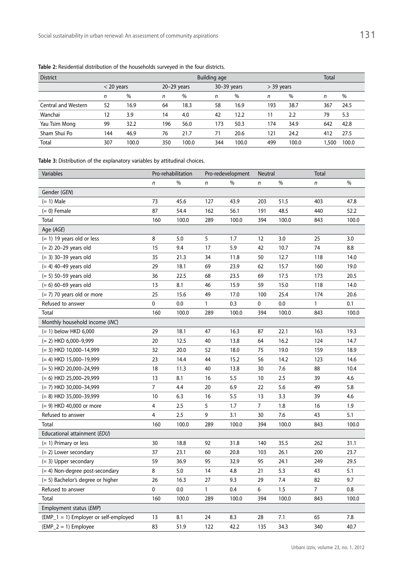| <b>District</b>     | <b>Building age</b><br>Total |       |     |               |     |               |     |              |       |       |
|---------------------|------------------------------|-------|-----|---------------|-----|---------------|-----|--------------|-------|-------|
|                     | $<$ 20 years                 |       |     | $20-29$ years |     | $30-39$ years |     | $>$ 39 years |       |       |
|                     | n                            | %     | n   | $\frac{0}{0}$ | n   | $\frac{0}{0}$ | n   | %            | n     | $\%$  |
| Central and Western | 52                           | 16.9  | 64  | 18.3          | 58  | 16.9          | 193 | 38.7         | 367   | 24.5  |
| Wanchai             | 12                           | 3.9   | 14  | 4.0           | 42  | 12.2          |     | 2.2          | 79    | 5.3   |
| Yau Tsim Mong       | 99                           | 32.2  | 196 | 56.0          | 173 | 50.3          | 174 | 34.9         | 642   | 42.8  |
| Sham Shui Po        | 144                          | 46.9  | 76  | 21.7          | 71  | 20.6          | 121 | 24.2         | 412   | 27.5  |
| Total               | 307                          | 100.0 | 350 | 100.0         | 344 | 100.0         | 499 | 100.0        | 500.۱ | 100.0 |

**Table 2:** Residential distribution of the households surveyed in the four districts.

**Table 3:** Distribution of the explanatory variables by attitudinal choices.

| Variables                             |             | Pro-rehabilitation |              | Pro-redevelopment | Neutral        |         | Total          |       |
|---------------------------------------|-------------|--------------------|--------------|-------------------|----------------|---------|----------------|-------|
|                                       | n           | $\%$               | n            | $\%$              | n              | $\%$    | n              | $\%$  |
| Gender (GEN)                          |             |                    |              |                   |                |         |                |       |
| $(= 1)$ Male                          | 73          | 45.6               | 127          | 43.9              | 203            | 51.5    | 403            | 47.8  |
| $(= 0)$ Female                        | 87          | 54.4               | 162          | 56.1              | 191            | 48.5    | 440            | 52.2  |
| Total                                 | 160         | 100.0              | 289          | 100.0             | 394            | 100.0   | 843            | 100.0 |
| Age (AGE)                             |             |                    |              |                   |                |         |                |       |
| $(= 1)$ 19 years old or less          | 8           | 5.0                | 5            | 1.7               | 12             | 3.0     | 25             | 3.0   |
| $(= 2)$ 20-29 years old               | 15          | 9.4                | 17           | 5.9               | 42             | 10.7    | 74             | 8.8   |
| $(= 3)$ 30-39 years old               | 35          | 21.3               | 34           | 11.8              | 50             | 12.7    | 118            | 14.0  |
| $(= 4)$ 40-49 years old               | 29          | 18.1               | 69           | 23.9              | 62             | 15.7    | 160            | 19.0  |
| $(= 5)$ 50-59 years old               | 36          | 22.5               | 68           | 23.5              | 69             | 17.5    | 173            | 20.5  |
| $(= 6)$ 60-69 years old               | 13          | 8.1                | 46           | 15.9              | 59             | 15.0    | 118            | 14.0  |
| $(= 7)$ 70 years old or more          | 25          | 15.6               | 49           | 17.0              | 100            | 25.4    | 174            | 20.6  |
| Refused to answer                     | 0           | 0.0                | $\mathbf{1}$ | 0.3               | 0              | 0.0     | 1              | 0.1   |
| Total                                 | 160         | 100.0              | 289          | 100.0             | 394            | 100.0   | 843            | 100.0 |
| Monthly household income (INC)        |             |                    |              |                   |                |         |                |       |
| $(= 1)$ below HKD 6,000               | 29          | 18.1               | 47           | 16.3              | 87             | 22.1    | 163            | 19.3  |
| $(= 2)$ HKD 6,000-9,999               | 20          | 12.5               | 40           | 13.8              | 64             | 16.2    | 124            | 14.7  |
| $(= 3)$ HKD 10,000-14,999             | 32          | 20.0               | 52           | 18.0              | 75             | 19.0    | 159            | 18.9  |
| $(= 4)$ HKD 15,000-19,999             | 23          | 14.4               | 44           | 15.2              | 56             | 14.2    | 123            | 14.6  |
| $(= 5)$ HKD 20,000-24,999             | 18          | 11.3               | 40           | 13.8              | 30             | 7.6     | 88             | 10.4  |
| $(= 6)$ HKD 25,000-29,999             | 13          | 8.1                | 16           | 5.5               | 10             | 2.5     | 39             | 4.6   |
| $(= 7)$ HKD 30,000-34,999             | 7           | 4.4                | 20           | 6.9               | 22             | 5.6     | 49             | 5.8   |
| $(= 8)$ HKD 35,000-39,999             | 10          | 6.3                | 16           | 5.5               | 13             | 3.3     | 39             | 4.6   |
| $(= 9)$ HKD 40,000 or more            | 4           | 2.5                | 5            | 1.7               | $\overline{7}$ | 1.8     | 16             | 1.9   |
| Refused to answer                     | 4           | 2.5                | 9            | 3.1               | 30             | 7.6     | 43             | 5.1   |
| Total                                 | 160         | 100.0              | 289          | 100.0             | 394            | 100.0   | 843            | 100.0 |
| Educational attainment (EDU)          |             |                    |              |                   |                |         |                |       |
| $(= 1)$ Primary or less               | 30          | 18.8               | 92           | 31.8              | 140            | 35.5    | 262            | 31.1  |
| $(= 2)$ Lower secondary               | 37          | 23.1               | 60           | 20.8              | 103            | 26.1    | 200            | 23.7  |
| (= 3) Upper secondary                 | 59          | 36.9               | 95           | 32.9              | 95             | 24.1    | 249            | 29.5  |
| (= 4) Non-degree post-secondary       | 8           | 5.0                | 14           | 4.8               | 21             | 5.3     | 43             | 5.1   |
| (= 5) Bachelor's degree or higher     | 26          | 16.3               | 27           | 9.3               | 29             | 7.4     | 82             | 9.7   |
| Refused to answer                     | $\mathbf 0$ | $0.0\,$            | $\mathbf{1}$ | 0.4               | 6              | $1.5\,$ | $\overline{7}$ | 0.8   |
| Total                                 | 160         | 100.0              | 289          | 100.0             | 394            | 100.0   | 843            | 100.0 |
| Employment status (EMP)               |             |                    |              |                   |                |         |                |       |
| (EMP_1 = 1) Employer or self-employed | 13          | 8.1                | 24           | 8.3               | 28             | 7.1     | 65             | 7.8   |
| $(EMP_2 = 1)$ Employee                | 83          | 51.9               | 122          | 42.2              | 135            | 34.3    | 340            | 40.7  |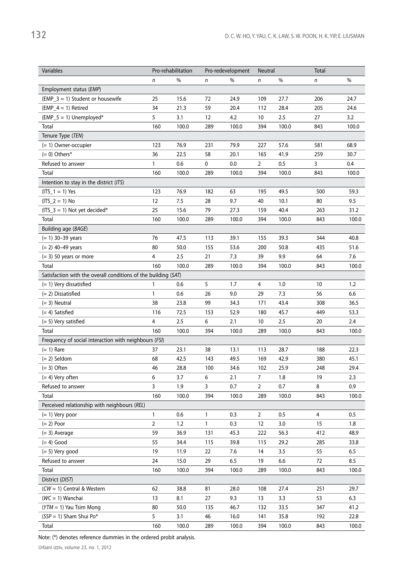| Variables                                                      |                | Pro-rehabilitation |              | Pro-redevelopment | <b>Neutral</b> |             | Total     |       |
|----------------------------------------------------------------|----------------|--------------------|--------------|-------------------|----------------|-------------|-----------|-------|
|                                                                | n              | $\%$               | n            | $\%$              | n              | $\%$        | n         | $\%$  |
| Employment status (EMP)                                        |                |                    |              |                   |                |             |           |       |
| $(EMP_3 = 1)$ Student or housewife                             | 25             | 15.6               | 72           | 24.9              | 109            | 27.7        | 206       | 24.7  |
| $(EMP_4 = 1)$ Retired                                          | 34             | 21.3               | 59           | 20.4              | 112            | 28.4        | 205       | 24.6  |
| $(EMP_5 = 1)$ Unemployed*                                      | 5              | 3.1                | 12           | 4.2               | 10             | 2.5         | 27        | 3.2   |
| Total                                                          | 160            | 100.0              | 289          | 100.0             | 394            | 100.0       | 843       | 100.0 |
| Tenure Type (TEN)                                              |                |                    |              |                   |                |             |           |       |
| (= 1) Owner-occupier                                           | 123            | 76.9               | 231          | 79.9              | 227            | 57.6        | 581       | 68.9  |
| $(= 0)$ Others*                                                | 36             | 22.5               | 58           | 20.1              | 165            | 41.9        | 259       | 30.7  |
| Refused to answer                                              | 1              | 0.6                | 0            | 0.0               | $\overline{2}$ | 0.5         | 3         | 0.4   |
| Total                                                          | 160            | 100.0              | 289          | 100.0             | 394            | 100.0       | 843       | 100.0 |
| Intention to stay in the district (ITS)                        |                |                    |              |                   |                |             |           |       |
| $(ITS_1 = 1) Yes$                                              | 123            | 76.9               | 182          | 63                | 195            | 49.5        | 500       | 59.3  |
| $(ITS 2 = 1) No$                                               | 12             | 7.5                | 28           | 9.7               | 40             | 10.1        | 80        | 9.5   |
| $(ITS_3 = 1)$ Not yet decided*                                 | 25             | 15.6               | 79           | 27.3              | 159            | 40.4        | 263       | 31.2  |
| Total                                                          | 160            | 100.0              | 289          | 100.0             | 394            | 100.0       | 843       | 100.0 |
| Building age (BAGE)                                            |                |                    |              |                   |                |             |           |       |
| $(= 1)$ 30-39 years                                            | 76             | 47.5               | 113          | 39.1              | 155            | 39.3        | 344       | 40.8  |
| $(= 2)$ 40-49 years                                            | 80             | 50.0               | 155          | 53.6              | 200            | 50.8        | 435       | 51.6  |
| $(= 3)$ 50 years or more                                       | 4              | 2.5                | 21           | 7.3               | 39             | 9.9         | 64        | 7.6   |
| Total                                                          | 160            | 100.0              | 289          | 100.0             | 394            | 100.0       | 843       | 100.0 |
| Satisfaction with the overall conditions of the building (SAT) |                |                    |              |                   |                |             |           |       |
| (= 1) Very dissatisfied                                        | 1              | 0.6                | 5            | 1.7               | 4              | 1.0         | 10        | 1.2   |
| (= 2) Dissatisfied                                             | $\mathbf{1}$   |                    |              |                   | 29             |             |           |       |
|                                                                | 38             | 0.6                | 26<br>99     | 9.0               | 171            | 7.3<br>43.4 | 56<br>308 | 6.6   |
| $(= 3)$ Neutral                                                |                | 23.8               |              | 34.3              |                |             |           | 36.5  |
| $(= 4)$ Satisfied                                              | 116            | 72.5               | 153          | 52.9              | 180            | 45.7        | 449       | 53.3  |
| $(= 5)$ Very satisfied                                         | 4              | 2.5                | 6            | 2.1               | 10             | 2.5         | 20        | 2.4   |
| Total                                                          | 160            | 100.0              | 394          | 100.0             | 289            | 100.0       | 843       | 100.0 |
| Frequency of social interaction with neighbours (FSI)          |                |                    |              |                   |                |             |           |       |
| $(= 1)$ Rare                                                   | 37             | 23.1               | 38           | 13.1              | 113            | 28.7        | 188       | 22.3  |
| $(= 2)$ Seldom                                                 | 68             | 42.5               | 143          | 49.5              | 169            | 42.9        | 380       | 45.1  |
| $(= 3)$ Often                                                  | 46             | 28.8               | 100          | 34.6              | 102            | 25.9        | 248       | 29.4  |
| $(= 4)$ Very often                                             | 6              | 3.7                | 6            | 2.1               | 7              | 1.8         | 19        | 2.3   |
| Refused to answer                                              | 3              | 1.9                | 3            | 0.7               | $\overline{2}$ | 0.7         | 8         | 0.9   |
| Total                                                          | 160            | 100.0              | 394          | 100.0             | 289            | 100.0       | 843       | 100.0 |
| Perceived relationship with neighbours (REL)                   |                |                    |              |                   |                |             |           |       |
| $(= 1)$ Very poor                                              | $\mathbf{1}$   | 0.6                | $\mathbf{1}$ | 0.3               | $\overline{2}$ | 0.5         | 4         | 0.5   |
| $(= 2)$ Poor                                                   | $\overline{2}$ | 1.2                | 1            | 0.3               | 12             | 3.0         | 15        | 1.8   |
| $(= 3)$ Average                                                | 59             | 36.9               | 131          | 45.3              | 222            | 56.3        | 412       | 48.9  |
| $(= 4)$ Good                                                   | 55             | 34.4               | 115          | 39.8              | 115            | 29.2        | 285       | 33.8  |
| $(= 5)$ Very good                                              | 19             | 11.9               | 22           | 7.6               | 14             | 3.5         | 55        | 6.5   |
| Refused to answer                                              | 24             | 15.0               | 29           | 6.5               | 19             | 6.6         | 72        | 8.5   |
| Total                                                          | 160            | 100.0              | 394          | 100.0             | 289            | 100.0       | 843       | 100.0 |
| District (DIST)                                                |                |                    |              |                   |                |             |           |       |
| (CW = 1) Central & Western                                     | 62             | 38.8               | 81           | 28.0              | 108            | 27.4        | 251       | 29.7  |
| $(WC = 1)$ Wanchai                                             | 13             | 8.1                | 27           | 9.3               | 13             | 3.3         | 53        | 6.3   |
| $(YTM = 1)$ Yau Tsim Mong                                      | 80             | 50.0               | 135          | 46.7              | 132            | 33.5        | 347       | 41.2  |
| $(SSP = 1)$ Sham Shui Po*                                      | 5              | 3.1                | 46           | 16.0              | 141            | 35.8        | 192       | 22.8  |
| Total                                                          | 160            | 100.0              | 289          | 100.0             | 394            | 100.0       | 843       | 100.0 |

132

Note: (\*) denotes reference dummies in the ordered probit analysis.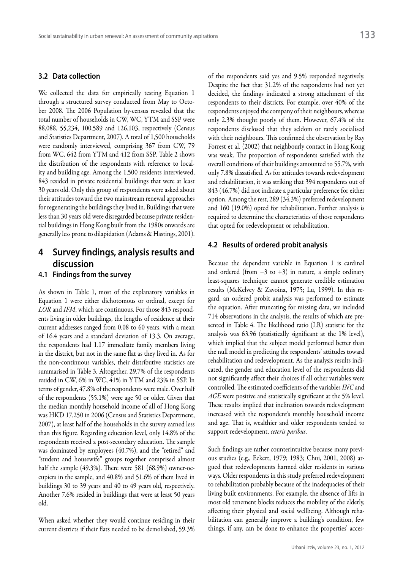# **3.2 Data collection**

We collected the data for empirically testing Equation 1 through a structured survey conducted from May to October 2008. The 2006 Population by‑census revealed that the total number of households in CW, WC, YTM and SSP were 88,088, 55,234, 100,589 and 126,103, respectively (Census and Statistics Department, 2007). A total of 1,500 households were randomly interviewed, comprising 367 from CW, 79 from WC, 642 from YTM and 412 from SSP. Table 2 shows the distribution of the respondents with reference to locality and building age. Among the 1,500 residents interviewed, 843 resided in private residential buildings that were at least 30 years old. Only this group of respondents were asked about their attitudes toward the two mainstream renewal approaches for regenerating the buildings they lived in. Buildings that were less than 30 years old were disregarded because private residential buildings in Hong Kong built from the 1980s onwards are generally less prone to dilapidation (Adams & Hastings, 2001).

# **4 Survey findings, analysis results and discussion**

## **4.1 Findings from the survey**

As shown in Table 1, most of the explanatory variables in Equation 1 were either dichotomous or ordinal, except for LOR and IFM, which are continuous. For those 843 respondents living in older buildings, the lengths of residence at their current addresses ranged from 0.08 to 60 years, with a mean of 16.4 years and a standard deviation of 13.3. On average, the respondents had 1.17 immediate family members living in the district, but not in the same flat as they lived in. As for the non‑continuous variables, their distributive statistics are summarised in Table 3. Altogether, 29.7% of the respondents resided in CW, 6% in WC, 41% in YTM and 23% in SSP. In terms of gender, 47.8% of the respondents were male. Over half of the respondents (55.1%) were age 50 or older. Given that the median monthly household income of all of Hong Kong was HKD 17,250 in 2006 (Census and Statistics Department, 2007), at least half of the households in the survey earned less than this figure. Regarding education level, only 14.8% of the respondents received a post‑secondary education. The sample was dominated by employees (40.7%), and the "retired" and "student and housewife" groups together comprised almost half the sample  $(49.3\%)$ . There were 581  $(68.9\%)$  owner-occupiers in the sample, and 40.8% and 51.6% of them lived in buildings 30 to 39 years and 40 to 49 years old, respectively. Another 7.6% resided in buildings that were at least 50 years old.

When asked whether they would continue residing in their current districts if their flats needed to be demolished, 59.3% of the respondents said yes and 9.5% responded negatively. Despite the fact that 31.2% of the respondents had not yet decided, the findings indicated a strong attachment of the respondents to their districts. For example, over 40% of the respondents enjoyed the company of their neighbours, whereas only 2.3% thought poorly of them. However, 67.4% of the respondents disclosed that they seldom or rarely socialised with their neighbours. This confirmed the observation by Ray Forrest et al. (2002) that neighbourly contact in Hong Kong was weak. The proportion of respondents satisfied with the overall conditions of their buildings amounted to 55.7%, with only 7.8% dissatisfied. As for attitudes towards redevelopment and rehabilitation, it was striking that 394 respondents out of 843 (46.7%) did not indicate a particular preference for either option. Among the rest, 289 (34.3%) preferred redevelopment and 160 (19.0%) opted for rehabilitation. Further analysis is required to determine the characteristics of those respondents that opted for redevelopment or rehabilitation.

## **4.2 Results of ordered probit analysis**

Because the dependent variable in Equation 1 is cardinal and ordered (from  $-3$  to  $+3$ ) in nature, a simple ordinary least‑squares technique cannot generate credible estimation results (McKelvey & Zavoina, 1975; Lu, 1999). In this re‑ gard, an ordered probit analysis was performed to estimate the equation. After truncating for missing data, we included 714 observations in the analysis, the results of which are pre‑ sented in Table 4. The likelihood ratio (LR) statistic for the analysis was 63.96 (statistically significant at the 1% level), which implied that the subject model performed better than the null model in predicting the respondents' attitudes toward rehabilitation and redevelopment. As the analysis results indicated, the gender and education level of the respondents did not significantly affect their choices if all other variables were controlled. The estimated coefficients of the variables *INC* and *AGE* were positive and statistically significant at the 5% level. These results implied that inclination towards redevelopment increased with the respondent's monthly household income and age. That is, wealthier and older respondents tended to support redevelopment, *ceteris paribus*.

Such findings are rather counterintuitive because many previous studies (e.g., Eckert, 1979; 1983; Chui, 2001, 2008) ar‑ gued that redevelopments harmed older residents in various ways. Older respondents in this study preferred redevelopment to rehabilitation probably because of the inadequacies of their living built environments. For example, the absence of lifts in most old tenement blocks reduces the mobility of the elderly, affecting their physical and social wellbeing. Although rehabilitation can generally improve a building's condition, few things, if any, can be done to enhance the properties' acces-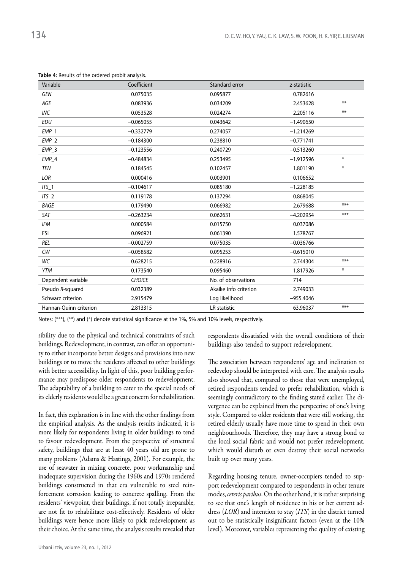| Variable               | Coefficient   | Standard error        | z-statistic |        |
|------------------------|---------------|-----------------------|-------------|--------|
| <b>GEN</b>             | 0.075035      | 0.095877              | 0.782616    |        |
| AGE                    | 0.083936      | 0.034209              | 2.453628    | $***$  |
| INC                    | 0.053528      | 0.024274              | 2.205116    | $***$  |
| <b>EDU</b>             | $-0.065055$   | 0.043642              | $-1.490650$ |        |
| $EMP_1$                | $-0.332779$   | 0.274057              | $-1.214269$ |        |
| $EMP_2$                | $-0.184300$   | 0.238810              | $-0.771741$ |        |
| $EMP_3$                | $-0.123556$   | 0.240729              | $-0.513260$ |        |
| $EMP_4$                | $-0.484834$   | 0.253495              | $-1.912596$ | $\ast$ |
| <b>TEN</b>             | 0.184545      | 0.102457              | 1.801190    | $\ast$ |
| LOR                    | 0.000416      | 0.003901              | 0.106652    |        |
| $ITS_1$                | $-0.104617$   | 0.085180              | $-1.228185$ |        |
| $ITS_2$                | 0.119178      | 0.137294              | 0.868045    |        |
| <b>BAGE</b>            | 0.179490      | 0.066982              | 2.679688    | $***$  |
| SAT                    | $-0.263234$   | 0.062631              | $-4.202954$ | $***$  |
| IFM                    | 0.000584      | 0.015750              | 0.037086    |        |
| <b>FSI</b>             | 0.096921      | 0.061390              | 1.578767    |        |
| <b>REL</b>             | $-0.002759$   | 0.075035              | $-0.036766$ |        |
| CW                     | $-0.058582$   | 0.095253              | $-0.615010$ |        |
| WC                     | 0.628215      | 0.228916              | 2.744304    | $***$  |
| <b>YTM</b>             | 0.173540      | 0.095460              | 1.817926    | $\ast$ |
| Dependent variable     | <b>CHOICE</b> | No. of observations   | 714         |        |
| Pseudo R-squared       | 0.032389      | Akaike info criterion | 2.749033    |        |
| Schwarz criterion      | 2.915479      | Log likelihood        | $-955.4046$ |        |
| Hannan-Quinn criterion | 2.813315      | LR statistic          | 63.96037    | ***    |
|                        |               |                       |             |        |

**Table 4:** Results of the ordered probit analysis.

Notes: (\*\*\*), (\*\*) and (\*) denote statistical significance at the 1%, 5% and 10% levels, respectively.

sibility due to the physical and technical constraints of such buildings. Redevelopment, in contrast, can offer an opportunity to either incorporate better designs and provisions into new buildings or to move the residents affected to other buildings with better accessibility. In light of this, poor building performance may predispose older respondents to redevelopment. The adaptability of a building to cater to the special needs of its elderly residents would be a great concern for rehabilitation.

In fact, this explanation is in line with the other findings from the empirical analysis. As the analysis results indicated, it is more likely for respondents living in older buildings to tend to favour redevelopment. From the perspective of structural safety, buildings that are at least 40 years old are prone to many problems (Adams & Hastings, 2001). For example, the use of seawater in mixing concrete, poor workmanship and inadequate supervision during the 1960s and 1970s rendered buildings constructed in that era vulnerable to steel reinforcement corrosion leading to concrete spalling. From the residents' viewpoint, their buildings, if not totally irreparable, are not fit to rehabilitate cost-effectively. Residents of older buildings were hence more likely to pick redevelopment as their choice. At the same time, the analysis results revealed that

respondents dissatisfied with the overall conditions of their buildings also tended to support redevelopment.

The association between respondents' age and inclination to redevelop should be interpreted with care. The analysis results also showed that, compared to those that were unemployed, retired respondents tended to prefer rehabilitation, which is seemingly contradictory to the finding stated earlier. The divergence can be explained from the perspective of one's living style. Compared to older residents that were still working, the retired elderly usually have more time to spend in their own neighbourhoods. Therefore, they may have a strong bond to the local social fabric and would not prefer redevelopment, which would disturb or even destroy their social networks built up over many years.

Regarding housing tenure, owner-occupiers tended to support redevelopment compared to respondents in other tenure modes, *ceteris paribus*. On the other hand, it is rather surprising to see that one's length of residence in his or her current address (*LOR*) and intention to stay (*ITS*) in the district turned out to be statistically insignificant factors (even at the 10% level). Moreover, variables representing the quality of existing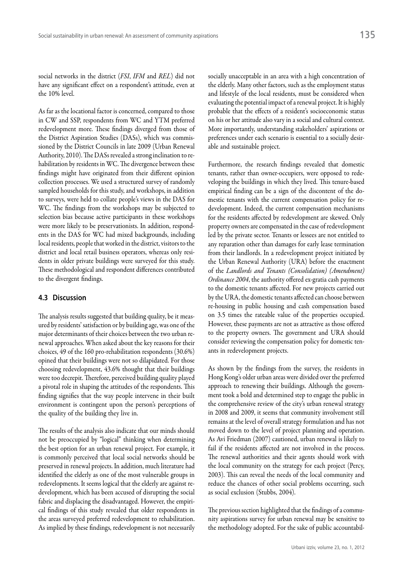social networks in the district (*FSI*, *IFM* and *REL*) did not have any significant effect on a respondent's attitude, even at the 10% level.

As far as the locational factor is concerned, compared to those in CW and SSP, respondents from WC and YTM preferred redevelopment more. These findings diverged from those of the District Aspiration Studies (DASs), which was commissioned by the District Councils in late 2009 (Urban Renewal Authority, 2010). The DASs revealed a strong inclination to re‑ habilitation by residents in WC. The divergence between these findings might have originated from their different opinion collection processes. We used a structured survey of randomly sampled households for this study, and workshops, in addition to surveys, were held to collate people's views in the DAS for WC. The findings from the workshops may be subjected to selection bias because active participants in these workshops were more likely to be preservationists. In addition, respondents in the DAS for WC had mixed backgrounds, including local residents, people that worked in the district, visitors to the district and local retail business operators, whereas only residents in older private buildings were surveyed for this study. These methodological and respondent differences contributed to the divergent findings.

# **4.3 Discussion**

The analysis results suggested that building quality, be it measured by residents' satisfaction or by building age, was one of the major determinants of their choices between the two urban renewal approaches. When asked about the key reasons for their choices, 49 of the 160 pro‑rehabilitation respondents (30.6%) opined that their buildings were not so dilapidated. For those choosing redevelopment, 43.6% thought that their buildings were too decrepit. Therefore, perceived building quality played a pivotal role in shaping the attitudes of the respondents. This finding signifies that the way people intervene in their built environment is contingent upon the person's perceptions of the quality of the building they live in.

The results of the analysis also indicate that our minds should not be preoccupied by "logical" thinking when determining the best option for an urban renewal project. For example, it is commonly perceived that local social networks should be preserved in renewal projects. In addition, much literature had identified the elderly as one of the most vulnerable groups in redevelopments. It seems logical that the elderly are against redevelopment, which has been accused of disrupting the social fabric and displacing the disadvantaged. However, the empirical findings of this study revealed that older respondents in the areas surveyed preferred redevelopment to rehabilitation. As implied by these findings, redevelopment is not necessarily

socially unacceptable in an area with a high concentration of the elderly. Many other factors, such as the employment status and lifestyle of the local residents, must be considered when evaluating the potential impact of a renewal project. It is highly probable that the effects of a resident's socioeconomic status on his or her attitude also vary in a social and cultural context. More importantly, understanding stakeholders' aspirations or preferences under each scenario is essential to a socially desirable and sustainable project.

Furthermore, the research findings revealed that domestic tenants, rather than owner-occupiers, were opposed to redeveloping the buildings in which they lived. This tenure-based empirical finding can be a sign of the discontent of the domestic tenants with the current compensation policy for redevelopment. Indeed, the current compensation mechanisms for the residents affected by redevelopment are skewed. Only property owners are compensated in the case of redevelopment led by the private sector. Tenants or lessees are not entitled to any reparation other than damages for early lease termination from their landlords. In a redevelopment project initiated by the Urban Renewal Authority (URA) before the enactment of the *Landlords and Tenants (Consolidation) (Amendment) Ordinance 2004*, the authority offered ex‑gratia cash payments to the domestic tenants affected. For new projects carried out by the URA, the domestic tenants affected can choose between re‑housing in public housing and cash compensation based on 3.5 times the rateable value of the properties occupied. However, these payments are not as attractive as those offered to the property owners. The government and URA should consider reviewing the compensation policy for domestic tenants in redevelopment projects.

As shown by the findings from the survey, the residents in Hong Kong's older urban areas were divided over the preferred approach to renewing their buildings. Although the government took a bold and determined step to engage the public in the comprehensive review of the city's urban renewal strategy in 2008 and 2009, it seems that community involvement still remains at the level of overall strategy formulation and has not moved down to the level of project planning and operation. As Avi Friedman (2007) cautioned, urban renewal is likely to fail if the residents affected are not involved in the process. The renewal authorities and their agents should work with the local community on the strategy for each project (Percy, 2003). This can reveal the needs of the local community and reduce the chances of other social problems occurring, such as social exclusion (Stubbs, 2004).

The previous section highlighted that the findings of a community aspirations survey for urban renewal may be sensitive to the methodology adopted. For the sake of public accountabil-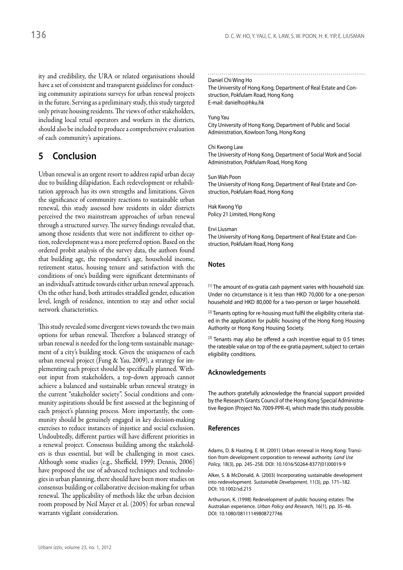ity and credibility, the URA or related organisations should have a set of consistent and transparent guidelines for conducting community aspirations surveys for urban renewal projects in the future. Serving as a preliminary study, this study targeted only private housing residents. The views of other stakeholders, including local retail operators and workers in the districts, should also be included to produce a comprehensive evaluation of each community's aspirations.

# **5 Conclusion**

Urban renewal is an urgent resort to address rapid urban decay due to building dilapidation. Each redevelopment or rehabilitation approach has its own strengths and limitations. Given the significance of community reactions to sustainable urban renewal, this study assessed how residents in older districts perceived the two mainstream approaches of urban renewal through a structured survey. The survey findings revealed that, among those residents that were not indifferent to either option, redevelopment was a more preferred option. Based on the ordered probit analysis of the survey data, the authors found that building age, the respondent's age, household income, retirement status, housing tenure and satisfaction with the conditions of one's building were significant determinants of an individual's attitude towards either urban renewal approach. On the other hand, both attitudes straddled gender, education level, length of residence, intention to stay and other social network characteristics.

This study revealed some divergent views towards the two main options for urban renewal. Therefore a balanced strategy of urban renewal is needed for the long-term sustainable management of a city's building stock. Given the uniqueness of each urban renewal project (Fung & Yau, 2009), a strategy for implementing each project should be specifically planned. Without input from stakeholders, a top‑down approach cannot achieve a balanced and sustainable urban renewal strategy in the current "stakeholder society". Social conditions and community aspirations should be first assessed at the beginning of each project's planning process. More importantly, the community should be genuinely engaged in key decision-making exercises to reduce instances of injustice and social exclusion. Undoubtedly, different parties will have different priorities in a renewal project. Consensus building among the stakeholders is thus essential, but will be challenging in most cases. Although some studies (e.g., Sheffield, 1999; Dennis, 2006) have proposed the use of advanced techniques and technologies in urban planning, there should have been more studies on consensus building or collaborative decision‑making for urban renewal. The applicability of methods like the urban decision room proposed by Neil Mayer et al. (2005) for urban renewal warrants vigilant consideration.

#### Daniel Chi Wing Ho

The University of Hong Kong, Department of Real Estate and Construction, Pokfulam Road, Hong Kong E-mail: danielho@hku.hk

#### Yung Yau

City University of Hong Kong, Department of Public and Social Administration, Kowloon Tong, Hong Kong

#### Chi Kwong Law

The University of Hong Kong, Department of Social Work and Social Administration, Pokfulam Road, Hong Kong

#### Sun Wah Poon

The University of Hong Kong, Department of Real Estate and Construction, Pokfulam Road, Hong Kong

Hak Kwong Yip Policy 21 Limited, Hong Kong

#### Ervi Liusman The University of Hong Kong, Department of Real Estate and Construction, Pokfulam Road, Hong Kong

#### **Notes**

[1] The amount of ex-gratia cash payment varies with household size. Under no circumstance is it less than HKD 70,000 for a one-person household and HKD 80,000 for a two-person or larger household.

<sup>[2]</sup> Tenants opting for re-housing must fulfil the eligibility criteria stated in the application for public housing of the Hong Kong Housing Authority or Hong Kong Housing Society.

[3] Tenants may also be offered a cash incentive equal to 0.5 times the rateable value on top of the ex-gratia payment, subject to certain eligibility conditions.

### **Acknowledgements**

The authors gratefully acknowledge the financial support provided by the Research Grants Council of the Hong Kong Special Administrative Region (Project No. 7009-PPR-4), which made this study possible.

## **References**

Adams, D. & Hasting, E. M. (2001) Urban renewal in Hong Kong: Transition from development corporation to renewal authority. *Land Use Policy,* 18(3), pp. 245–258. DOI: 10.1016/S0264-8377(01)00019-9

Alker, S. & McDonald, A. (2003) Incorporating sustainable development into redevelopment. *Sustainable Development,* 11(3), pp. 171–182. DOI: 10.1002/sd.215

Arthurson, K. (1998) Redevelopment of public housing estates: The Australian experience. *Urban Policy and Research,* 16(1), pp. 35–46. DOI: 10.1080/08111149808727746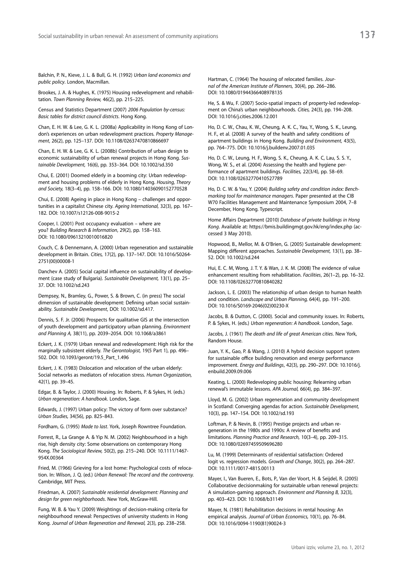Balchin, P. N., Kieve, J. L. & Bull, G. H. (1992) *Urban land economics and public policy*. London, Macmillan.

Brookes, J. A. & Hughes, K. (1975) Housing redevelopment and rehabilitation. *Town Planning Review,* 46(2), pp. 215–225.

Census and Statistics Department (2007) *2006 Population by‑census: Basic tables for district council districts*. Hong Kong.

Chan, E. H. W. & Lee, G. K. L. (2008a) Applicability in Hong Kong of London's experiences on urban redevelopment practices. *Property Manage‑ ment*, 26(2), pp. 125–137. DOI: 10.1108/02637470810866697

Chan, E. H. W. & Lee, G. K. L. (2008b) Contribution of urban design to economic sustainability of urban renewal projects in Hong Kong. *Sus‑ tainable Development,* 16(6), pp. 353–364. DOI: 10.1002/sd.350

Chui, E. (2001) Doomed elderly in a booming city: Urban redevelopment and housing problems of elderly in Hong Kong. *Housing, Theory and Society,* 18(3–4), pp. 158–166. DOI: 10.1080/14036090152770528

Chui, E. (2008) Ageing in place in Hong Kong – challenges and opportunities in a capitalist Chinese city. *Ageing International,* 32(3), pp. 167– 182. DOI: 10.1007/s12126-008-9015-2

Cooper, I. (2001) Post occupancy evaluation – where are you? *Building Research & Information*, 29(2), pp. 158–163. DOI: 10.1080/09613210010016820

Couch, C. & Dennemann, A. (2000) Urban regeneration and sustainable development in Britain. *Cities,* 17(2), pp. 137–147. DOI: 10.1016/S0264- 2751(00)00008-1

Danchev A. (2005) Social capital influence on sustainability of development (case study of Bulgaria). *Sustainable Development,* 13(1), pp. 25– 37. DOI: 10.1002/sd.243

Dempsey, N., Bramley, G., Power, S. & Brown, C. (in press) The social dimension of sustainable development: Defining urban social sustainability. *Sustainable Development*, DOI: 10.1002/sd.417.

Dennis, S. F. Jr. (2006) Prospects for qualitative GIS at the intersection of youth development and participatory urban planning. *Environment and Planning A,* 38(11), pp. 2039–2054. DOI: 10.1068/a3861

Eckert, J. K. (1979) Urban renewal and redevelopment: High risk for the marginally subsistent elderly. *The Gerontologist,* 19(5 Part 1), pp. 496– 502. DOI: 10.1093/geront/19.5\_Part\_1.496

Eckert, J. K. (1983) Dislocation and relocation of the urban elderly: Social networks as mediators of relocation stress. *Human Organization,* 42(1), pp. 39–45.

Edgar, B. & Taylor, J. (2000) Housing. In: Roberts, P. & Sykes, H. (eds.) *Urban regeneration: A handbook*. London, Sage.

Edwards, J. (1997) Urban policy: The victory of form over substance? *Urban Studies,* 34(56), pp. 825–843.

Fordham, G. (1995) *Made to last*. York, Joseph Rowntree Foundation.

Forrest, R., La Grange A. & Yip N. M. (2002) Neighbourhood in a high rise, high density city: Some observations on contemporary Hong Kong. *The Sociological Review,* 50(2), pp. 215–240. DOI: 10.1111/1467- 954X.00364

Fried, M. (1966) Grieving for a lost home: Psychological costs of relocation. In: Wilson, J. Q. (ed.) *Urban Renewal: The record and the controversy.*  Cambridge, MIT Press.

Friedman, A. (2007) *Sustainable residential development: Planning and design for green neighborhoods*. New York, McGraw-Hill.

Fung, W. B. & Yau Y. (2009) Weightings of decision-making criteria for neighbourhood renewal: Perspectives of university students in Hong Kong. *Journal of Urban Regeneration and Renewal,* 2(3), pp. 238–258.

Hartman, C. (1964) The housing of relocated families. *Jour‑ nal of the American Institute of Planners,* 30(4), pp. 266–286. DOI: 10.1080/01944366408978135

He, S. & Wu, F. (2007) Socio-spatial impacts of property-led redevelopment on China's urban neighbourhoods. *Cities,* 24(3), pp. 194–208. DOI: 10.1016/j.cities.2006.12.001

Ho, D. C. W., Chau, K. W., Cheung, A. K. C., Yau, Y., Wong, S. K., Leung, H. F., et al. (2008) A survey of the health and safety conditions of apartment buildings in Hong Kong. *Building and Environment,* 43(5), pp. 764–775. DOI: 10.1016/j.buildenv.2007.01.035

Ho, D. C. W., Leung, H. F., Wong, S. K., Cheung, A. K. C, Lau, S. S. Y., Wong, W. S., et al. (2004) Assessing the health and hygiene performance of apartment buildings. *Facilities,* 22(3/4), pp. 58–69. DOI: 10.1108/02632770410527789

Ho, D. C. W. & Yau, Y. (2004) *Building safety and condition index: Bench‑ marking tool for maintenance managers*. Paper presented at the CIB W70 Facilities Management and Maintenance Symposium 2004, 7–8 December, Hong Kong. Typescript.

Home Affairs Department (2010) *Database of private buildings in Hong Kong*. Available at: https://bmis.buildingmgt.gov.hk/eng/index.php (accessed 3 May 2010).

Hopwood, B., Mellor, M. & O'Brien, G. (2005) Sustainable development: Mapping different approaches. *Sustainable Development,* 13(1), pp. 38– 52. DOI: 10.1002/sd.244

Hui, E. C. M, Wong, J. T. Y. & Wan, J. K. M. (2008) The evidence of value enhancement resulting from rehabilitation. *Facilities*, 26(1–2), pp. 16–32. DOI: 10.1108/02632770810840282

Jackson, L. E. (2003) The relationship of urban design to human health and condition. *Landscape and Urban Planning,* 64(4), pp. 191–200. DOI: 10.1016/S0169-2046(02)00230-X

Jacobs, B. & Dutton, C. (2000). Social and community issues. In: Roberts, P. & Sykes, H. (eds.) *Urban regeneration: A handbook*. London, Sage.

Jacobs, J. (1961) *The death and life of great American cities*. New York, Random House.

Juan, Y. K., Gao, P. & Wang, J. (2010) A hybrid decision support system for sustainable office building renovation and energy performance improvement. *Energy and Buildings*, 42(3), pp. 290–297. DOI: 10.1016/j. enbuild.2009.09.006

Keating, L. (2000) Redeveloping public housing: Relearning urban renewal's immutable lessons. *APA Journal,* 66(4), pp. 384–397.

Lloyd, M. G. (2002) Urban regeneration and community development in Scotland: Converging agendas for action. *Sustainable Development,* 10(3), pp. 147–154. DOI: 10.1002/sd.193

Loftman, P. & Nevin, B. (1995) Prestige projects and urban regeneration in the 1980s and 1990s: A review of benefits and limitations. *Planning Practice and Research,* 10(3–4), pp. 209–315. DOI: 10.1080/02697459509696280

Lu, M. (1999) Determinants of residential satisfaction: Ordered logit vs. regression models. *Growth and Change*, 30(2), pp. 264–287. DOI: 10.1111/0017-4815.00113

Mayer, I., Van Bueren, E., Bots, P., Van der Voort, H. & Seijdel, R. (2005) Collaborative decisionmaking for sustainable urban renewal projects: A simulation-gaming approach. *Environment and Planning B,* 32(3), pp. 403–423. DOI: 10.1068/b31149

Mayer, N. (1981) Rehabilitation decisions in rental housing: An empirical analysis. *Journal of Urban Economics,* 10(1), pp. 76–84. DOI: 10.1016/0094-1190(81)90024-3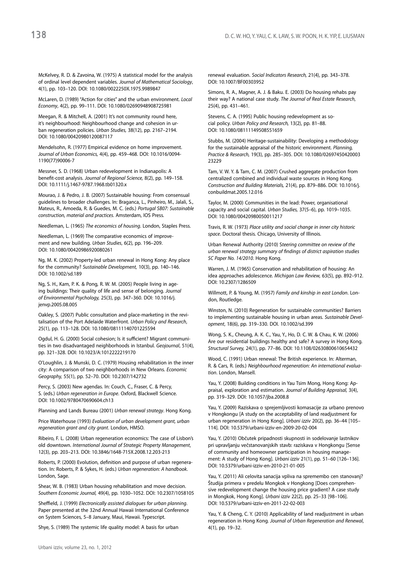McKelvey, R. D. & Zavoina, W. (1975) A statistical model for the analysis of ordinal level dependent variables. *Journal of Mathematical Sociology*, 4(1), pp. 103–120. DOI: 10.1080/0022250X.1975.9989847

McLaren, D. (1989) "Action for cities" and the urban environment. *Local Economy*, 4(2), pp. 99–111. DOI: 10.1080/02690948908725981

Meegan, R. & Mitchell, A. (2001) It's not community round here, it's neighbourhood: Neighbourhood change and cohesion in urban regeneration policies. *Urban Studies,* 38(12), pp. 2167–2194. DOI: 10.1080/00420980120087117

Mendelsohn, R. (1977) Empirical evidence on home improvement. *Journal of Urban Economics,* 4(4), pp. 459–468. DOI: 10.1016/0094- 1190(77)90006-7

Messner, S. D. (1968) Urban redevelopment in Indianapolis: A benefit-cost analysis. *Journal of Regional Science,* 8(2), pp. 149–158. DOI: 10.1111/j.1467-9787.1968.tb01320.x

Mourao, J. & Pedro, J. B. (2007) Sustainable housing: From consensual guidelines to broader challenges. In: Braganca, L., Pinheiro, M., Jalali, S., Mateus, R., Amoeda, R. & Guedes, M. C. (eds.) *Portugal SB07: Sustainable construction, material and practices*. Amsterdam, IOS Press.

Needleman, L. (1965) *The economics of housing*. London, Staples Press.

Needleman, L. (1969) The comparative economics of improvement and new building. *Urban Studies*, 6(2), pp. 196–209. DOI: 10.1080/00420986920080261

Ng, M. K. (2002) Property-led urban renewal in Hong Kong: Any place for the community? *Sustainable Development,* 10(3), pp. 140–146. DOI: 10.1002/sd.189

Ng, S. H., Kam, P. K. & Pong, R. W. M. (2005) People living in ageing buildings: Their quality of life and sense of belonging. *Journal of Environmental Psychology,* 25(3), pp. 347–360. DOI: 10.1016/j. jenvp.2005.08.005

Oakley, S. (2007) Public consultation and place-marketing in the revitalisation of the Port Adelaide Waterfront. *Urban Policy and Research*, 25(1), pp. 113–128. DOI: 10.1080/08111140701225594

Ogdul, H. G. (2000) Social cohesion; Is it sufficient? Migrant communities in two disadvantaged neighborhoods in Istanbul. *Geojournal*, 51(4), pp. 321–328. DOI: 10.1023/A:1012222219170

O'Loughlin, J. & Munski, D. C. (1979) Housing rehabilitation in the inner city: A comparison of two neighborhoods in New Orleans. *Economic Geography,* 55(1), pp. 52–70. DOI: 10.2307/142732

Percy, S. (2003) New agendas. In: Couch, C., Fraser, C. & Percy, S. (eds.) *Urban regeneration in Europe*. Oxford, Blackwell Science. DOI: 10.1002/9780470690604.ch13

Planning and Lands Bureau (2001) *Urban renewal strategy*. Hong Kong.

Price Waterhouse (1993) *Evaluation of urban development grant, urban regeneration grant and city grant*. London, HMSO.

Ribeiro, F. L. (2008) Urban regeneration economics: The case of Lisbon's old downtown. *International Journal of Strategic Property Management*, 12(3), pp. 203–213. DOI: 10.3846/1648-715X.2008.12.203-213

Roberts, P. (2000) Evolution, definition and purpose of urban regeneration. In: Roberts, P. & Sykes, H. (eds.) *Urban regeneration: A handbook*. London, Sage.

Shear, W. B. (1983) Urban housing rehabilitation and move decision. *Southern Economic Journal,* 49(4), pp. 1030–1052. DOI: 10.2307/1058105

Sheffield, J. (1999) *Electronically assisted dialogues for urban planning*. Paper presented at the 32nd Annual Hawaii International Conference on System Sciences, 5–8 January, Maui, Hawaii. Typescript.

Shye, S. (1989) The systemic life quality model: A basis for urban

renewal evaluation. *Social Indicators Research,* 21(4), pp. 343–378. DOI: 10.1007/BF00303952

Simons, R. A., Magner, A. J. & Baku. E. (2003) Do housing rehabs pay their way? A national case study. *The Journal of Real Estate Research*, 25(4), pp. 431–461.

Stevens, C. A. (1995) Public housing redevelopment as social policy. *Urban Policy and Research,* 13(2), pp. 81–88. DOI: 10.1080/08111149508551659

Stubbs, M. (2004) Heritage-sustainability: Developing a methodology for the sustainable appraisal of the historic environment. *Planning, Practice & Research,* 19(3), pp. 285–305. DOI: 10.1080/02697450420003 23229

Tam, V. W. Y. & Tam, C. M. (2007) Crushed aggregate production from centralized combined and individual waste sources in Hong Kong. *Construction and Building Materials,* 21(4), pp. 879–886. DOI: 10.1016/j. conbuildmat.2005.12.016

Taylor, M. (2000) Communities in the lead: Power, organisational capacity and social capital. *Urban Studies,* 37(5–6), pp. 1019–1035. DOI: 10.1080/00420980050011217

Travis, R. W. (1973) *Place utility and social change in inner city historic space*. Doctoral thesis. Chicago, University of Illinois.

Urban Renewal Authority (2010) S*teering committee on review of the urban renewal strategy summary of findings of district aspiration studies SC Paper No. 14/2010*. Hong Kong.

Warren, J. M. (1965) Conservation and rehabilitation of housing: An idea approaches adolescence. *Michigan Law Review,* 63(5), pp. 892–912. DOI: 10.2307/1286509

Willmott, P. & Young, M. (1957) *Family and kinship in east London*. London, Routledge.

Winston, N. (2010) Regeneration for sustainable communities? Barriers to implementing sustainable housing in urban areas. *Sustainable Devel‑ opment*, 18(6), pp. 319–330. DOI. 10.1002/sd.399

Wong, S. K., Cheung, A. K. C., Yau, Y., Ho, D. C. W. & Chau, K. W. (2006) Are our residential buildings healthy and safe? A survey in Hong Kong. *Structural Survey,* 24(1), pp. 77–86. DOI: 10.1108/02630800610654432

Wood, C. (1991) Urban renewal: The British experience. In: Alterman, R. & Cars, R. (eds.) *Neighbourhood regeneration: An international evalua‑ tion*. London, Mansell.

Yau, Y. (2008) Building conditions in Yau Tsim Mong, Hong Kong: Appraisal, exploration and estimation. *Journal of Building Appraisal,* 3(4), pp. 319–329. DOI: 10.1057/jba.2008.8

Yau, Y. (2009) Raziskava o sprejemljivosti komasacije za urbano prenovo v Hongkongu [A study on the acceptability of land readjustment for urban regeneration in Hong Kong]. *Urbani izziv* 20(2), pp. 36–44 [105– 114]. DOI: 10.5379/urbani-izziv-en-2009-20-02-004

Yau, Y. (2010) Občutek pripadnosti skupnosti in sodelovanje lastnikov pri upravljanju večstanovanjskih stavb: raziskava v Hongkongu [Sense of community and homeowner participation in housing management: A study of Hong Kong]. *Urbani izziv* 21(1), pp. 51–60 [126–136]. DOI: 10.5379/urbani-izziv-en-2010-21-01-005

Yau, Y. (2011) Ali celovita sanacija vpliva na spremembo cen stanovanj? Študija primera v predelu Mongkok v Hongkong [Does comprehensive redevelopment change the housing price gradient? A case study in Mongkok, Hong Kong]. *Urbani izziv* 22(2), pp. 25–33 [98–106]. DOI: 10.5379/urbani-izziv-en-2011-22-02-003

Yau, Y. & Cheng, C. Y. (2010) Applicability of land readjustment in urban regeneration in Hong Kong. *Journal of Urban Regeneration and Renewal*, 4(1), pp. 19–32.